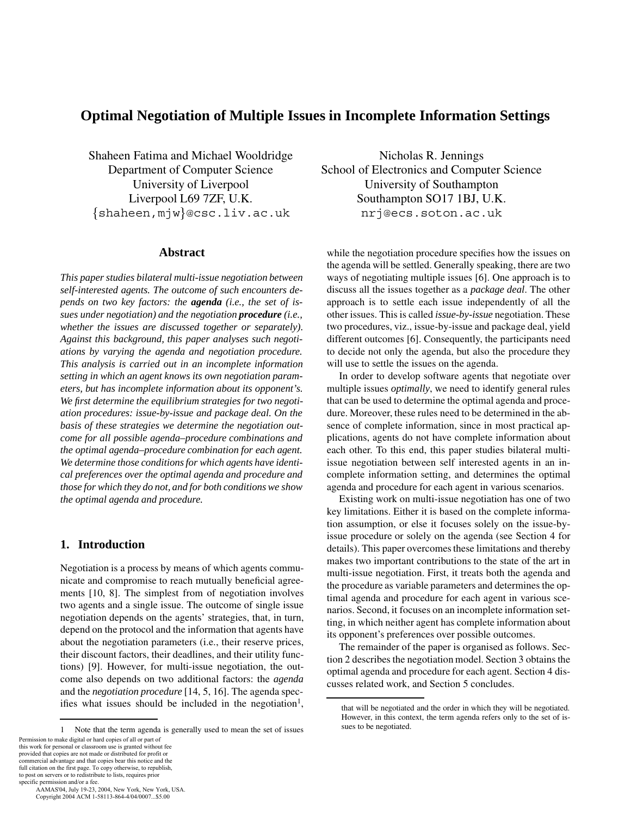# **Optimal Negotiation of Multiple Issues in Incomplete Information Settings**

Shaheen Fatima and Michael Wooldridge Department of Computer Science University of Liverpool Liverpool L69 7ZF, U.K. shaheen,mjw@csc.liv.ac.uk

#### **Abstract**

*This paper studies bilateral multi-issue negotiation between self-interested agents. The outcome of such encounters depends on two key factors: the agenda (i.e., the set of issues under negotiation) and the negotiation procedure (i.e., whether the issues are discussed together or separately). Against this background, this paper analyses such negotiations by varying the agenda and negotiation procedure. This analysis is carried out in an incomplete information setting in which an agent knows its own negotiation parameters, but has incomplete information about its opponent's. We first determine the equilibrium strategies for two negotiation procedures: issue-by-issue and package deal. On the basis of these strategies we determine the negotiation outcome for all possible agenda–procedure combinations and the optimal agenda–procedure combination for each agent. We determine those conditions for which agents have identical preferences over the optimal agenda and procedure and those for which they do not, and for both conditions we show the optimal agenda and procedure.*

# **1. Introduction**

Negotiation is a process by means of which agents communicate and compromise to reach mutually beneficial agreements [10, 8]. The simplest from of negotiation involves two agents and a single issue. The outcome of single issue negotiation depends on the agents' strategies, that, in turn, depend on the protocol and the information that agents have about the negotiation parameters (i.e., their reserve prices, their discount factors, their deadlines, and their utility functions) [9]. However, for multi-issue negotiation, the outcome also depends on two additional factors: the *agenda* and the *negotiation procedure* [14, 5, 16]. The agenda specifies what issues should be included in the negotiation<sup>1</sup>,

this work for personal or classroom use is granted without fee provided that copies are not made or distributed for profit or commercial advantage and that copies bear this notice and the full citation on the first page. To copy otherwise, to republish, to post on servers or to redistribute to lists, requires prior

specific permission and/or a fee. AAMAS'04, July 19-23, 2004, New York, New York, USA. Copyright 2004 ACM 1-58113-864-4/04/0007...\$5.00

Nicholas R. Jennings School of Electronics and Computer Science University of Southampton Southampton SO17 1BJ, U.K. nrj@ecs.soton.ac.uk

while the negotiation procedure specifies how the issues on the agenda will be settled. Generally speaking, there are two ways of negotiating multiple issues [6]. One approach is to discuss all the issues together as a *package deal*. The other approach is to settle each issue independently of all the other issues. This is called *issue-by-issue* negotiation. These two procedures, viz., issue-by-issue and package deal, yield different outcomes [6]. Consequently, the participants need to decide not only the agenda, but also the procedure they will use to settle the issues on the agenda.

In order to develop software agents that negotiate over multiple issues *optimally*, we need to identify general rules that can be used to determine the optimal agenda and procedure. Moreover, these rules need to be determined in the absence of complete information, since in most practical applications, agents do not have complete information about each other. To this end, this paper studies bilateral multiissue negotiation between self interested agents in an incomplete information setting, and determines the optimal agenda and procedure for each agent in various scenarios.

Existing work on multi-issue negotiation has one of two key limitations. Either it is based on the complete information assumption, or else it focuses solely on the issue-byissue procedure or solely on the agenda (see Section 4 for details). This paper overcomes these limitations and thereby makes two important contributions to the state of the art in multi-issue negotiation. First, it treats both the agenda and the procedure as variable parameters and determines the optimal agenda and procedure for each agent in various scenarios. Second, it focuses on an incomplete information setting, in which neither agent has complete information about its opponent's preferences over possible outcomes.

The remainder of the paper is organised as follows. Section 2 describes the negotiation model. Section 3 obtains the optimal agenda and procedure for each agent. Section 4 discusses related work, and Section 5 concludes.

<sup>1</sup> Note that the term agenda is generally used to mean the set of issues Permission to make digital or hard copies of all or part of

that will be negotiated and the order in which they will be negotiated. However, in this context, the term agenda refers only to the set of issues to be negotiated.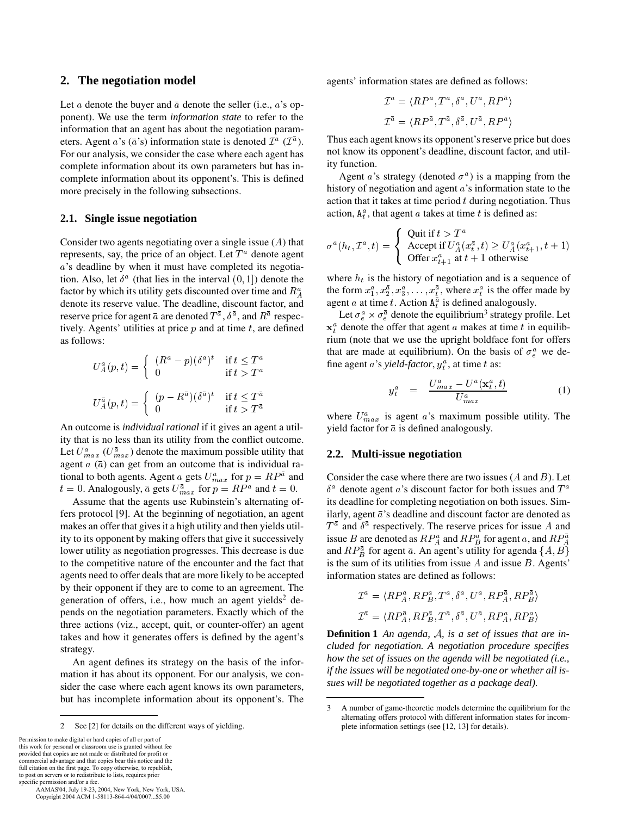## **2. The negotiation model**

Let *a* denote the buyer and  $\bar{a}$  denote the seller (i.e., *a*'s opponent). We use the term *information state* to refer to the information that an agent has about the negotiation parameters. Agent *a*'s ( $\bar{a}$ 's) information state is denoted  $\mathcal{I}^a$  ( $\mathcal{I}^{\bar{a}}$ ). <sup>[1]</sup> For our analysis, we consider the case where each agent has complete information about its own parameters but has incomplete information about its opponent's. This is defined more precisely in the following subsections.

#### **2.1. Single issue negotiation**

Consider two agents negotiating over a single issue  $(A)$  that represents, say, the price of an object. Let  $T^a$  denote agent a's deadline by when it must have completed its negotiation. Also, let  $\delta^a$  (that lies in the interval  $(0, 1]$ ) denote the factor by which its utility gets discounted over time and  $R_A^a$ denote its reserve value. The deadline, discount factor, and reserve price for agent  $\bar{a}$  are denoted  $T^{\bar{a}}$  ,  $\delta^{\bar{a}}$  , and  $R^{\bar{a}}$  respectively. Agents' utilities at price  $p$  and at time  $t$ , are defined as follows:

$$
U_A^a(p,t) = \begin{cases} (R^a - p)(\delta^a)^t & \text{if } t \le T^a \\ 0 & \text{if } t > T^a \end{cases}
$$

$$
U_A^{\bar{a}}(p,t) = \begin{cases} (p - R^{\bar{a}})(\delta^{\bar{a}})^t & \text{if } t \le T^{\bar{a}} \\ 0 & \text{if } t > T^{\bar{a}} \end{cases}
$$

An outcome is *individual rational* if it gives an agent a utility that is no less than its utility from the conflict outcome. Let  $U_{max}^a$  ( $U_{max}^{\bar{a}}$ ) denote the maximum possible utility that agent  $a(\bar{a})$  can get from an outcome that is individual rational to both agents. Agent a gets  $U_{max}^a$  for  $p = RP^a$  and  $t = 0$ . Analogously,  $\bar{a}$  gets  $U_{max}^{\bar{a}}$  for  $p = RP^a$  and  $t = 0$ .  $\delta^a$ 

Assume that the agents use Rubinstein's alternating offers protocol [9]. At the beginning of negotiation, an agent makes an offer that gives it a high utility and then yields utility to its opponent by making offers that give it successively lower utility as negotiation progresses. This decrease is due to the competitive nature of the encounter and the fact that agents need to offer deals that are more likely to be accepted by their opponent if they are to come to an agreement. The generation of offers, i.e., how much an agent yields<sup>2</sup> depends on the negotiation parameters. Exactly which of the three actions (viz., accept, quit, or counter-offer) an agent takes and how it generates offers is defined by the agent's strategy.

An agent defines its strategy on the basis of the information it has about its opponent. For our analysis, we consider the case where each agent knows its own parameters, but has incomplete information about its opponent's. The

Permission to make digital or hard copies of all or part of this work for personal or classroom use is granted without fee provided that copies are not made or distributed for profit or commercial advantage and that copies bear this notice and the full citation on the first page. To copy otherwise, to republish, to post on servers or to redistribute to lists, requires prior specific permission and/or a fee.

 AAMAS'04, July 19-23, 2004, New York, New York, USA. Copyright 2004 ACM 1-58113-864-4/04/0007...\$5.00

agents' information states are defined as follows:

$$
\mathcal{I}^a = \langle RP^a, T^a, \delta^a, U^a, RP^{\bar{a}}\rangle
$$
  

$$
\mathcal{I}^{\bar{a}} = \langle RP^{\bar{a}}, T^{\bar{a}}, \delta^{\bar{a}}, U^{\bar{a}}, RP^a\rangle
$$

Thus each agent knows its opponent's reserve price but does not know its opponent's deadline, discount factor, and utility function.

Agent *a*'s strategy (denoted  $\sigma^a$ ) is a mapping from the history of negotiation and agent  $a$ 's information state to the action that it takes at time period  $t$  during negotiation. Thus action,  $A_t^a$ , that agent *a* takes at time *t* is defined as:

$$
\sigma^{a}(h_t, \mathcal{I}^a, t) = \begin{cases} \text{ Quit if } t > T^a \\ \text{Accept if } U_A^a(x_t^{\bar{a}}, t) \ge U_A^a(x_{t+1}^a, t+1) \\ \text{offer } x_{t+1}^a \text{ at } t+1 \text{ otherwise} \end{cases}
$$

where  $h_t$  is the history of negotiation and is a sequence of the form  $x_1^a, x_2^{\overline{a}}, x_3^a, \ldots, x_t^{\overline{a}}$ , where  $x_t^a$  is the offer made by agent *a* at time *t*. Action  $A_t^{\bar{a}}$  is defined analogously.

Let  $\sigma_e^a \times \sigma_e^{\bar{a}}$  denote the equilibrium<sup>3</sup> strategy profile. Let  $x_t^a$  denote the offer that agent a makes at time t in equilibrium (note that we use the upright boldface font for offers that are made at equilibrium). On the basis of  $\sigma_e^a$  we define agent *a*'s *yield-factor*,  $y_t^a$ , at time *t* as:

$$
y_t^a = \frac{U_{max}^a - U^a(\mathbf{x}_t^a, t)}{U_{max}^a}
$$
 (1)

where  $U_{max}^{a}$  is agent a's maximum possible utility. The yield factor for  $\bar{a}$  is defined analogously.

#### **2.2. Multi-issue negotiation**

Consider the case where there are two issues  $(A \text{ and } B)$ . Let  $\delta^a$  denote agent a's discount factor for both issues and T its deadline for completing negotiation on both issues. Similarly, agent  $\bar{a}$ 's deadline and discount factor are denoted as  $T^{\bar{a}}$  and  $\delta^{\bar{a}}$  respectively. The reserve prices for issue A and issue B are denoted as  $RP_A^a$  and  $RP_B^a$  for agent a, and  $RP_A^{\overline{a}}$ and  $RP_R^{\overline{a}}$  for agent  $\overline{a}$ . An agent's utility for agenda  $\{A, B\}$ is the sum of its utilities from issue  $A$  and issue  $B$ . Agents' information states are defined as follows:

$$
\mathcal{I}^a = \langle RP_A^a, RP_B^a, T^a, \delta^a, U^a, RP_A^{\bar{a}}, RP_B^{\bar{a}}\rangle
$$
  

$$
\mathcal{I}^{\bar{a}} = \langle RP_A^{\bar{a}}, RP_B^{\bar{a}}, T^{\bar{a}}, \delta^{\bar{a}}, U^{\bar{a}}, RP_A^a, RP_B^a\rangle
$$

**Definition 1** An agenda, A, is a set of issues that are in*cluded for negotiation. A negotiation procedure specifies how the set of issues on the agenda will be negotiated (i.e., if the issues will be negotiated one-by-one or whether all issues will be negotiated together as a package deal).*

<sup>2</sup> See [2] for details on the different ways of yielding.

<sup>3</sup> A number of game-theoretic models determine the equilibrium for the alternating offers protocol with different information states for incomplete information settings (see [12, 13] for details).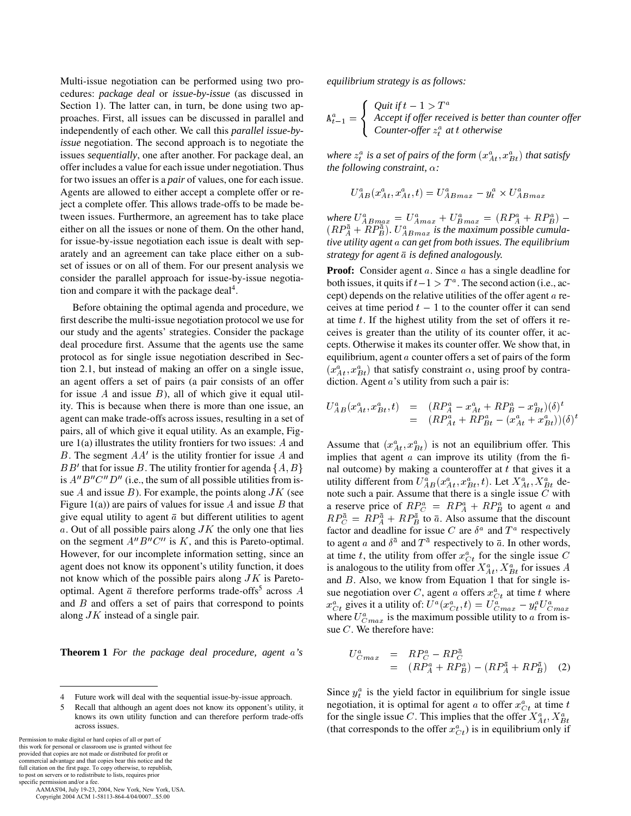Multi-issue negotiation can be performed using two procedures: *package deal* or *issue-by-issue* (as discussed in Section 1). The latter can, in turn, be done using two approaches. First, all issues can be discussed in parallel and independently of each other. We call this *parallel issue-byissue* negotiation. The second approach is to negotiate the issues *sequentially*, one after another. For package deal, an offer includes a value for each issue under negotiation. Thus for two issues an offer is a *pair* of values, one for each issue. Agents are allowed to either accept a complete offer or reject a complete offer. This allows trade-offs to be made between issues. Furthermore, an agreement has to take place either on all the issues or none of them. On the other hand, for issue-by-issue negotiation each issue is dealt with separately and an agreement can take place either on a subset of issues or on all of them. For our present analysis we consider the parallel approach for issue-by-issue negotiation and compare it with the package deal<sup>4</sup>.

Before obtaining the optimal agenda and procedure, we first describe the multi-issue negotiation protocol we use for our study and the agents' strategies. Consider the package deal procedure first. Assume that the agents use the same protocol as for single issue negotiation described in Section 2.1, but instead of making an offer on a single issue, an agent offers a set of pairs (a pair consists of an offer for issue A and issue  $B$ ), all of which give it equal utility. This is because when there is more than one issue, an agent can make trade-offs across issues, resulting in a set of pairs, all of which give it equal utility. As an example, Figure  $1(a)$  illustrates the utility frontiers for two issues: A and B. The segment  $AA'$  is the utility frontier for issue A and imp BB' that for issue B. The utility frontier for agenda  $\{A, B\}$  and is  $A^{\prime\prime}B^{\prime\prime}C^{\prime\prime}D^{\prime\prime}$  (i.e., the sum of all possible utilities from issue  $A$  and issue  $B$ ). For example, the points along  $JK$  (see Figure 1(a)) are pairs of values for issue  $A$  and issue  $B$  that give equal utility to agent  $\bar{a}$  but different utilities to agent a. Out of all possible pairs along  $JK$  the only one that lies on the segment  $A''B''C''$  is K, and this is Pareto-optimal. However, for our incomplete information setting, since an agent does not know its opponent's utility function, it does not know which of the possible pairs along  $JK$  is Paretooptimal. Agent  $\bar{a}$  therefore performs trade-offs<sup>5</sup> across A and  $B$  and offers a set of pairs that correspond to points along  $JK$  instead of a single pair.

**Theorem 1** *For the package deal procedure, agent 's*

Permission to make digital or hard copies of all or part of this work for personal or classroom use is granted without fee provided that copies are not made or distributed for profit or commercial advantage and that copies bear this notice and the full citation on the first page. To copy otherwise, to republish, to post on servers or to redistribute to lists, requires prior

specific permission and/or a fee. AAMAS'04, July 19-23, 2004, New York, New York, USA. Copyright 2004 ACM 1-58113-864-4/04/0007...\$5.00

*equilibrium strategy is as follows:*

$$
\mathbf{A}_{t-1}^a = \begin{cases} \text{Quit if } t-1 > T^a \\ \text{Accept if offer received is better than counter offer} \\ \text{Counter-offer } z_t^a \text{ at } t \text{ otherwise} \end{cases}
$$

where  $z_t^a$  is a set of pairs of the form  $(x_{A t}^a, x_{B t}^a)$  that satisfy *the following constraint,*  $\alpha$ *:* 

$$
U^a_{AB}(x^a_{At},x^a_{At},t) = U^a_{ABmax} - y^a_t \times U^a_{ABmax}
$$

*where*  $U_{ABmax}^a = U_{Amax}^a + U_{Bmax}^a = (RP_A^a + RP_B^a) (RP^{\bar{a}}_A+RP^{\bar{a}}_B)$ .  $U^a_{ABmax}$  is the maximum possible cumula*tive utility agent can get from both issues. The equilibrium strategy for agent is defined analogously.*

**Proof:** Consider agent a. Since a has a single deadline for both issues, it quits if  $t-1 > T^a$ . The second action (i.e., accept) depends on the relative utilities of the offer agent  $\alpha$  receives at time period  $t - 1$  to the counter offer it can send at time  $t$ . If the highest utility from the set of offers it receives is greater than the utility of its counter offer, it accepts. Otherwise it makes its counter offer. We show that, in equilibrium, agent  $a$  counter offers a set of pairs of the form  $(x_{At}^a, x_{Bt}^a)$  that satisfy constraint  $\alpha$ , using proof by contradiction. Agent  $a$ 's utility from such a pair is:

$$
U_{AB}^{a}(x_{At}^{a}, x_{Bt}^{a}, t) = (RP_{A}^{a} - x_{At}^{a} + RP_{B}^{a} - x_{Bt}^{a})(\delta)^{t}
$$
  
= 
$$
(RP_{At}^{a} + RP_{Bt}^{a} - (x_{At}^{a} + x_{Bt}^{a}))(\delta)^{t}
$$

Assume that  $(x_{At}^a, x_{Bt}^a)$  is not an equilibrium offer. This implies that agent  $a$  can improve its utility (from the final outcome) by making a counteroffer at  $t$  that gives it a utility different from  $U_{AB}^a(x_{At}^a, x_{Bt}^a, t)$ . Let  $X_{At}^a, X_{Bt}^a$  denote such a pair. Assume that there is a single issue  $C$  with a reserve price of  $RP_C^a = RP_A^a + RP_B^a$  to agent a and  $RP_{\text{C}}^{\bar{a}} = RP_{\text{A}}^{\bar{a}} + RP_{\text{B}}^{\bar{a}}$  to  $\bar{a}$ . Also assume that the discount factor and deadline for issue C are  $\delta^a$  and  $T^a$  respectively to agent a and  $\delta^{\bar{a}}$  and  $T^{\bar{a}}$  respectively to  $\bar{a}$ . In other words, at time t, the utility from offer  $x_{C_t}^a$  for the single issue C is analogous to the utility from offer  $X^a_{At}$ ,  $X^a_{Bt}$  for issues A and  $B$ . Also, we know from Equation 1 that for single issue negotiation over C, agent a offers  $x_{C_t}^a$  at time t where  $x_{Ct}^a$  gives it a utility of:  $U^a(x_{Ct}^a, t) = U_{Cmax}^a - y_t^a U_{Cmax}^a$ where  $U_{Cmax}^a$  is the maximum possible utility to a from issue  $C$ . We therefore have:

$$
U_{Cmax}^{a} = RP_{C}^{a} - RP_{C}^{\bar{a}}
$$
  
=  $(RP_{A}^{a} + RP_{B}^{a}) - (RP_{A}^{\bar{a}} + RP_{B}^{\bar{a}})$  (2)

Since  $y_t^a$  is the yield factor in equilibrium for single issue negotiation, it is optimal for agent a to offer  $x_{C_t}^a$  at time t for the single issue C. This implies that the offer  $X^a_{At}$ ,  $X^a_{Bt}$ (that corresponds to the offer  $x_{C_t}^a$ ) is in equilibrium only if

<sup>4</sup> Future work will deal with the sequential issue-by-issue approach.

<sup>5</sup> Recall that although an agent does not know its opponent's utility, it knows its own utility function and can therefore perform trade-offs across issues.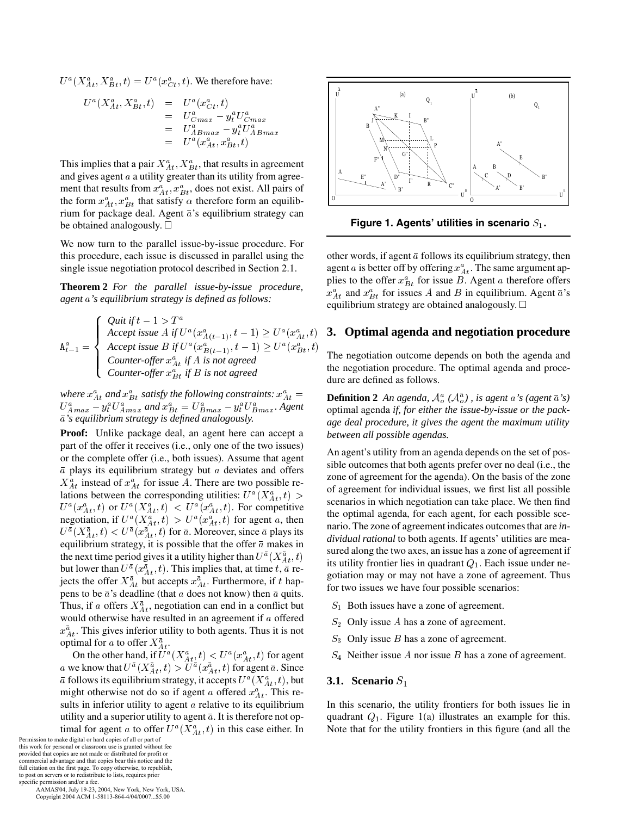$U^a(X^a_{At}, X^a_{Bt}, t) = U^a(x^a_{Ct}, t)$ . We therefore have:

$$
U^{a}(X_{At}^{a}, X_{Bt}^{a}, t) = U^{a}(x_{Ct}^{a}, t)
$$
  
=  $U_{Cmax}^{a} - y_{t}^{a}U_{Cmax}^{a}$   
=  $U_{ABmax}^{a} - y_{t}^{a}U_{ABmax}^{a}$   
=  $U^{a}(x_{At}^{a}, x_{Bt}^{a}, t)$ 

This implies that a pair  $X_{At}^a$ ,  $X_{Bt}^a$ , that results in agreement and gives agent  $a$  a utility greater than its utility from agreement that results from  $x_{At}^a$ ,  $x_{Bt}^a$ , does not exist. All pairs of the form  $x_{At}^a$ ,  $x_{Bt}^a$  that satisfy  $\alpha$  therefore form an equilibrium for package deal. Agent  $\bar{a}$ 's equilibrium strategy can be obtained analogously.  $\square$ 

We now turn to the parallel issue-by-issue procedure. For this procedure, each issue is discussed in parallel using the single issue negotiation protocol described in Section 2.1.

**Theorem 2** *For the parallel issue-by-issue procedure, agent 's equilibrium strategy is defined as follows:*

$$
\mathtt{A}_{t-1}^{a} = \left\{\begin{array}{ll} \textit{Quit if } t-1 > T^{a} \\ \textit{Accept issue A if } U^{a}(x_{A(t-1)}^{a}, t-1) \geq U^{a}(x_{At}^{a}, t) \\ \textit{Accept issue B if } U^{a}(x_{B(t-1)}^{a}, t-1) \geq U^{a}(x_{Bt}^{a}, t) \\ \textit{Counter-offer } x_{At}^{a} \textit{ if } A \textit{ is not agreed} \\ \textit{Counter-offer } x_{Bt}^{a} \textit{ if } B \textit{ is not agreed} \end{array}\right.\right\}.
$$

where  $x_{At}^a$  and  $x_{Bt}^a$  satisfy the following constraints:  $x_{At}^a$  $U^a_{A max} - y^a_t U^a_{A max}$  and  $x^a_{B t} = U^a_{B max} - y^a_t U^a_{B max}$ . Agent *'s equilibrium strategy is defined analogously.*

**Proof:** Unlike package deal, an agent here can accept a part of the offer it receives (i.e., only one of the two issues) or the complete offer (i.e., both issues). Assume that agent  $\bar{a}$  plays its equilibrium strategy but  $a$  deviates and offers  $X_{At}^{a}$  instead of  $x_{At}^{a}$  for issue A. There are two possible relations between the corresponding utilities:  $U^a(X^a_{At}, t)$  $U^a(x_{At}^a, t)$  or  $U^a(X_{At}^a, t) < U^a(x_{At}^a, t)$ . For competitive negotiation, if  $U^a(X^a_{At}, t) > U^a(x^a_{At}, t)$  for agent a, then  $U^{\bar{a}}(X^{\bar{a}}_{At},t) < U^{\bar{a}}(x^{\bar{a}}_{At},t)$  for  $\bar{a}$ . Moreover, since  $\bar{a}$  plays its equilibrium strategy, it is possible that the offer  $\bar{a}$  makes in the next time period gives it a utility higher than  $U^{\bar{a}}(X^{\bar{a}}_{At},t)$ but lower than  $U^{\bar a}(x^{\bar a}_{A t},t)$ . This implies that, at time t,  $\bar a$  rejects the offer  $X_{At}^{\bar{a}}$  but accepts  $x_{At}^{\bar{a}}$ . Furthermore, if t happens to be  $\bar{a}$ 's deadline (that  $a$  does not know) then  $\bar{a}$  quits. Thus, if a offers  $X_{At}^{\bar{a}}$ , negotiation can end in a conflict but would otherwise have resulted in an agreement if  $a$  offered  $x_{At}^{\bar{a}}$ . This gives inferior utility to both agents. Thus it is not optimal for a to offer  $X^{\bar{a}}_{A t}$ .

On the other hand, if  $U^a(X^a_{At}, t) < U^a(x^a_{At}, t)$  for agent a we know that  $U^{\bar a}(X^{\bar a}_{A t},t) > U^{\bar a}(x^{\bar a}_{A t},t)$  for agent  $\bar a$ . Since  $\bar{a}$  follows its equilibrium strategy, it accepts  $U^a(X^a_{At},t)$ , but might otherwise not do so if agent a offered  $x_{At}^a$ . This results in inferior utility to agent  $a$  relative to its equilibrium utility and a superior utility to agent  $\bar{a}$ . It is therefore not optimal for agent *a* to offer  $U^a(X^a_{At}, t)$  in this case either. In

Permission to make digital or hard copies of all or part of this work for personal or classroom use is granted without fee provided that copies are not made or distributed for profit or commercial advantage and that copies bear this notice and the full citation on the first page. To copy otherwise, to republish, to post on servers or to redistribute to lists, requires prior specific permission and/or a fee. AAMAS'04, July 19-23, 2004, New York, New York, USA.

Copyright 2004 ACM 1-58113-864-4/04/0007...\$5.00



Figure 1. Agents' utilities in scenario  $S_1$ .

other words, if agent  $\bar{a}$  follows its equilibrium strategy, then agent a is better off by offering  $x_{At}^a$ . The same argument applies to the offer  $x_{B_t}^a$  for issue B. Agent a therefore offers  $x_{At}^a$  and  $x_{Bt}^a$  for issues A and B in equilibrium. Agent  $\bar{a}$ 's equilibrium strategy are obtained analogously.  $\Box$ 

# **3. Optimal agenda and negotiation procedure**

The negotiation outcome depends on both the agenda and the negotiation procedure. The optimal agenda and procedure are defined as follows.

**Definition 2** An agenda,  $A^a_{\rho}$  ( $A^{\bar{a}}_{\rho}$ ), is agent *a*'s (agent  $\bar{a}$ 's) optimal agenda *if, for either the issue-by-issue or the package deal procedure, it gives the agent the maximum utility between all possible agendas.*

 $s<sub>0</sub>$  scenarios in which negotiation can take place. We then find  $\sum_{n=1}^{10}$  its utility frontier lies in quadrant  $Q_1$ . Each issue under ne-An agent's utility from an agenda depends on the set of possible outcomes that both agents prefer over no deal (i.e., the zone of agreement for the agenda). On the basis of the zone of agreement for individual issues, we first list all possible the optimal agenda, for each agent, for each possible scenario. The zone of agreement indicates outcomes that are *individual rational* to both agents. If agents' utilities are measured along the two axes, an issue has a zone of agreement if gotiation may or may not have a zone of agreement. Thus for two issues we have four possible scenarios:

- $S_1$  Both issues have a zone of agreement.
- $S_2$  Only issue A has a zone of agreement.
- $S_3$  Only issue B has a zone of agreement.
- $S_4$  Neither issue A nor issue B has a zone of agreement.

#### **3.1. Scenario**

In this scenario, the utility frontiers for both issues lie in quadrant  $Q_1$ . Figure 1(a) illustrates an example for this. Note that for the utility frontiers in this figure (and all the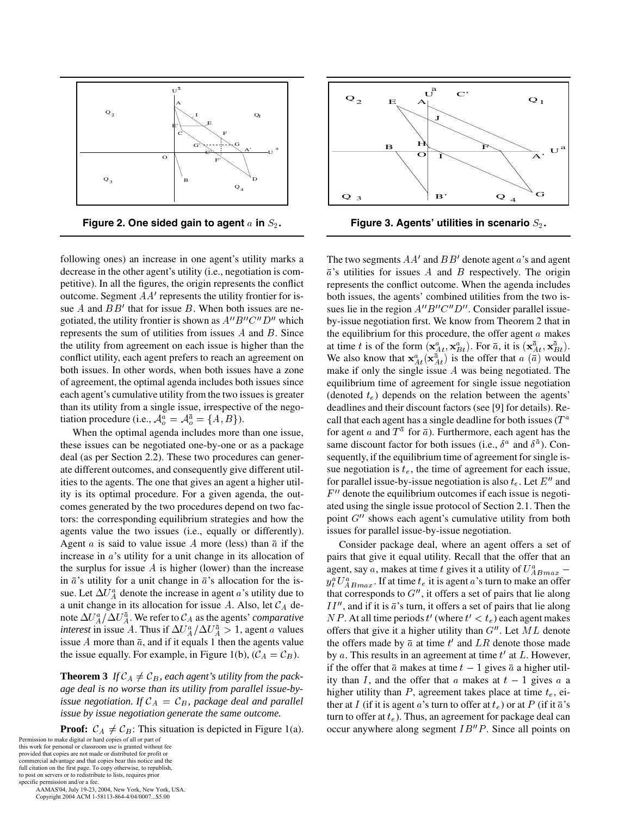



following ones) an increase in one agent's utility marks a decrease in the other agent's utility (i.e., negotiation is competitive). In all the figures, the origin represents the conflict outcome. Segment  $AA'$  represents the utility frontier for issue A and  $BB'$  that for issue B. When both issues are negotiated, the utility frontier is shown as  $A''B''C''D''$  which represents the sum of utilities from issues  $A$  and  $B$ . Since the utility from agreement on each issue is higher than the conflict utility, each agent prefers to reach an agreement on both issues. In other words, when both issues have a zone of agreement, the optimal agenda includes both issues since each agent's cumulative utility from the two issues is greater than its utility from a single issue, irrespective of the negotiation procedure (i.e.,  $\mathcal{A}^a_o = \mathcal{A}^{\bar{a}}_o = \{A, B\}$ ).

When the optimal agenda includes more than one issue, these issues can be negotiated one-by-one or as a package deal (as per Section 2.2). These two procedures can generate different outcomes, and consequently give different utilities to the agents. The one that gives an agent a higher utility is its optimal procedure. For a given agenda, the outcomes generated by the two procedures depend on two factors: the corresponding equilibrium strategies and how the agents value the two issues (i.e., equally or differently). Agent *a* is said to value issue *A* more (less) than  $\bar{a}$  if the increase in  $a$ 's utility for a unit change in its allocation of the surplus for issue  $\vec{A}$  is higher (lower) than the increase in  $\bar{a}$ 's utility for a unit change in  $\bar{a}$ 's allocation for the issue. Let  $\Delta U_A^a$  denote the increase in agent a's utility due to a unit change in its allocation for issue A. Also, let  $\mathcal{C}_A$  de-  $I$ note  $\Delta U_A^a/\Delta U_A^{\bar a}$  . We refer to  ${\cal C}_A$  as the agents' *comparative interest* in issue A. Thus if  $\Delta U_A^a / \Delta U_A^{\bar{a}} > 1$ , agent a values issue  $A$  more than  $\bar{a}$ , and if it equals 1 then the agents value the issue equally. For example, in Figure 1(b),  $(C_A = C_B)$ . by

**Theorem 3** If  $\mathcal{C}_A \neq \mathcal{C}_B$ , each agent's utility from the pack*age deal is no worse than its utility from parallel issue-byissue negotiation. If*  $C_A = C_B$ , package deal and parallel *issue by issue negotiation generate the same outcome.*

**Proof:**  $C_A \neq C_B$ : This situation is depicted in Figure 1(a). Permission to make digital or hard copies of all or part of

this work for personal or classroom use is granted without fee provided that copies are not made or distributed for profit or commercial advantage and that copies bear this notice and the full citation on the first page. To copy otherwise, to republish, to post on servers or to redistribute to lists, requires prior

specific permission and/or a fee. AAMAS'04, July 19-23, 2004, New York, New York, USA. Copyright 2004 ACM 1-58113-864-4/04/0007...\$5.00



**Figure 3. Agents' utilities in scenario .**

The two segments  $AA'$  and  $BB'$  denote agent  $a$ 's and agent  $\overline{a}$ 's utilities for issues A and B respectively. The origin represents the conflict outcome. When the agenda includes both issues, the agents' combined utilities from the two issues lie in the region  $A''B''C''D''$ . Consider parallel issueby-issue negotiation first. We know from Theorem 2 that in the equilibrium for this procedure, the offer agent  $a$  makes at time t is of the form  $(\mathbf{x}_{At}^a, \mathbf{x}_{Bt}^a)$ . For  $\bar{a}$ , it is  $(\mathbf{x}_{At}^{\bar{a}}, \mathbf{x}_{Bt}^{\bar{a}})$ . We also know that  $\mathbf{x}_{At}^a(\mathbf{x}_{At}^{\bar{a}})$  is the offer that  $a(\bar{a})$  would make if only the single issue  $A$  was being negotiated. The equilibrium time of agreement for single issue negotiation (denoted  $t_e$ ) depends on the relation between the agents' deadlines and their discount factors (see [9] for details). Recall that each agent has a single deadline for both issues ( $T^a$ for agent a and  $T^{\bar{a}}$  for  $\bar{a}$ ). Furthermore, each agent has the same discount factor for both issues (i.e.,  $\delta^a$  and  $\delta^{\bar{a}}$ ). Consequently, if the equilibrium time of agreement for single issue negotiation is  $t_e$ , the time of agreement for each issue, for parallel issue-by-issue negotiation is also  $t_e$ . Let  $E''$  and  $F''$  denote the equilibrium outcomes if each issue is negotiated using the single issue protocol of Section 2.1. Then the point  $G''$  shows each agent's cumulative utility from both issues for parallel issue-by-issue negotiation.

Consider package deal, where an agent offers a set of pairs that give it equal utility. Recall that the offer that an agent, say a, makes at time t gives it a utility of  $U^a_{ABmax}$  –  $y_t^a U_{ABmax}^a$ . If at time  $t_e$  it is agent a's turn to make an offer that corresponds to  $G''$ , it offers a set of pairs that lie along  $II''$ , and if it is  $\bar{a}$ 's turn, it offers a set of pairs that lie along *NP*. At all time periods  $t'$  (where  $t' < t_e$ ) each agent makes offers that give it a higher utility than  $G''$ . Let  $ML$  denote the offers made by  $\bar{a}$  at time  $t'$  and  $LR$  denote those made by  $a$ . This results in an agreement at time  $t'$  at  $L$ . However, if the offer that  $\bar{a}$  makes at time  $t - 1$  gives  $\bar{a}$  a higher utility than  $I$ , and the offer that  $a$  makes at  $t - 1$  gives  $a$  a higher utility than  $P$ , agreement takes place at time  $t_e$ , either at I (if it is agent a's turn to offer at  $t_e$ ) or at P (if it  $\bar{a}$ 's turn to offer at  $t_e$ ). Thus, an agreement for package deal can occur anywhere along segment  $IB''P$ . Since all points on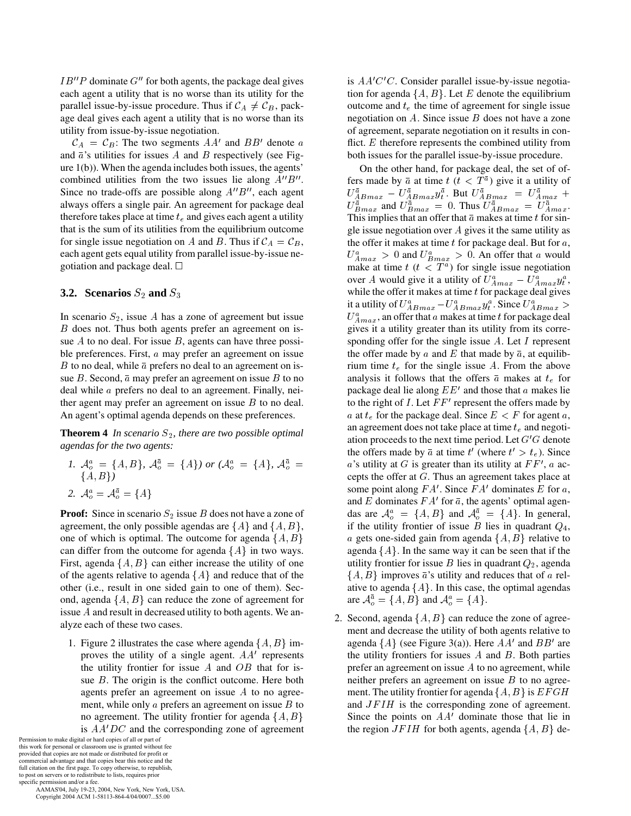$IB''P$  dominate  $G''$  for both agents, the package deal gives each agent a utility that is no worse than its utility for the parallel issue-by-issue procedure. Thus if  $\mathcal{C}_A \neq \mathcal{C}_B$ , package deal gives each agent a utility that is no worse than its utility from issue-by-issue negotiation.

 $\mathcal{C}_A = \mathcal{C}_B$ : The two segments  $AA'$  and  $BB'$  denote a and  $\bar{a}$ 's utilities for issues A and B respectively (see Figure 1(b)). When the agenda includes both issues, the agents' combined utilities from the two issues lie along  $A''B''$ . Since no trade-offs are possible along  $A''B''$ , each agent always offers a single pair. An agreement for package deal therefore takes place at time  $t_e$  and gives each agent a utility that is the sum of its utilities from the equilibrium outcome for single issue negotiation on A and B. Thus if  $\mathcal{C}_A = \mathcal{C}_B$ , each agent gets equal utility from parallel issue-by-issue negotiation and package deal.

#### **3.2.** Scenarios  $S_2$  and  $S_3$

In scenario  $S_2$ , issue A has a zone of agreement but issue  $B$  does not. Thus both agents prefer an agreement on issue  $A$  to no deal. For issue  $B$ , agents can have three possible preferences. First,  $a$  may prefer an agreement on issue B to no deal, while  $\bar{a}$  prefers no deal to an agreement on issue  $B$ . Second,  $\bar{a}$  may prefer an agreement on issue  $B$  to no deal while  $a$  prefers no deal to an agreement. Finally, neither agent may prefer an agreement on issue  $B$  to no deal. An agent's optimal agenda depends on these preferences.

**Theorem 4** *In scenario*  $S_2$ *, there are two possible optimal agendas for the two agents:*

*1.*  $\mathcal{A}^a_o = \{A, B\}$ ,  $\mathcal{A}^{\bar{a}}_o = \{A\}$  or  $(\mathcal{A}^a_o = \{A\}$ ,  $\mathcal{A}^{\bar{a}}_o = a$ 's  $\{A, B\}$ 2.  $\mathcal{A}^a_o = \mathcal{A}^{\bar{a}}_o = \{A\}$ 

**Proof:** Since in scenario  $S_2$  issue B does not have a zone of agreement, the only possible agendas are  $\{A\}$  and  $\{A, B\}$ , one of which is optimal. The outcome for agenda  $\{A, B\}$ can differ from the outcome for agenda  $\{A\}$  in two ways. First, agenda  $\{A, B\}$  can either increase the utility of one of the agents relative to agenda  $\{A\}$  and reduce that of the other (i.e., result in one sided gain to one of them). Second, agenda  $\{A, B\}$  can reduce the zone of agreement for issue  $A$  and result in decreased utility to both agents. We analyze each of these two cases.

1. Figure 2 illustrates the case where agenda  $\{A, B\}$  improves the utility of a single agent.  $AA'$  represents the utility frontier for issue  $A$  and  $OB$  that for issue  $B$ . The origin is the conflict outcome. Here both agents prefer an agreement on issue  $A$  to no agreement, while only  $\alpha$  prefers an agreement on issue  $\beta$  to no agreement. The utility frontier for agenda  $\{A, B\}$ is  $AA'DC$  and the corresponding zone of agreement

Permission to make digital or hard copies of all or part of this work for personal or classroom use is granted without fee provided that copies are not made or distributed for profit or commercial advantage and that copies bear this notice and the full citation on the first page. To copy otherwise, to republish, to post on servers or to redistribute to lists, requires prior specific permission and/or a fee. AAMAS'04, July 19-23, 2004, New York, New York, USA.

Copyright 2004 ACM 1-58113-864-4/04/0007...\$5.00

is  $AA'C'C$ . Consider parallel issue-by-issue negotiation for agenda  $\{A, B\}$ . Let E denote the equilibrium outcome and  $t_e$  the time of agreement for single issue negotiation on  $A$ . Since issue  $B$  does not have a zone of agreement, separate negotiation on it results in conflict.  $E$  therefore represents the combined utility from both issues for the parallel issue-by-issue procedure.

On the other hand, for package deal, the set of offers made by  $\bar{a}$  at time  $t$  ( $t < T^{\bar{a}}$ ) give it a utility of  $U_{ABmax}^{\bar{a}} - U_{ABmax}^{\bar{a}} y_{t}^{\bar{a}}$ . But  $U_{ABmax}^{\bar{a}} = U_{Amax}^{\bar{a}}$  +  $U_{Bmax}^a$  and  $U_{Bmax}^a = 0$ . Thus  $U_{ABmax}^a = U_{Amax}^a$ . This implies that an offer that  $\bar{a}$  makes at time  $t$  for single issue negotiation over  $A$  gives it the same utility as the offer it makes at time  $t$  for package deal. But for  $a$ ,  $U^a_{Amax} > 0$  and  $U^a_{Bmax} > 0$ . An offer that a would make at time  $t$  ( $t < T<sup>a</sup>$ ) for single issue negotiation over A would give it a utility of  $U_{A max}^a - U_{A max}^a y_t^a$ , while the offer it makes at time  $t$  for package deal gives it a utility of  $U^a_{ABmax} - U^a_{ABmax} y^a_t$  . Since  $U^a_{ABmax} >$  $U^a_{A max}$ , an offer that a makes at time t for package deal gives it a utility greater than its utility from its corresponding offer for the single issue  $A$ . Let  $I$  represent the offer made by a and E that made by  $\bar{a}$ , at equilibrium time  $t_e$  for the single issue A. From the above analysis it follows that the offers  $\bar{a}$  makes at  $t_e$  for package deal lie along  $EE'$  and those that  $a$  makes lie to the right of *I*. Let  $FF'$  represent the offers made by a at  $t_e$  for the package deal. Since  $E < F$  for agent a, an agreement does not take place at time  $t_e$  and negotiation proceeds to the next time period. Let  $G'G$  denote the offers made by  $\bar{a}$  at time t' (where  $t' > t_e$ ). Since a's utility at G is greater than its utility at  $FF'$ , a accepts the offer at  $G$ . Thus an agreement takes place at some point along  $FA'$ . Since  $FA'$  dominates E for a, and E dominates  $FA'$  for  $\bar{a}$ , the agents' optimal agendas are  $\mathcal{A}^a_{\alpha} = \{A, B\}$  and  $\mathcal{A}^{\overline{a}}_{\alpha} = \{A\}$ . In general, if the utility frontier of issue  $B$  lies in quadrant  $Q_4$ , a gets one-sided gain from agenda  $\{A, B\}$  relative to agenda  $\{A\}$ . In the same way it can be seen that if the utility frontier for issue  $B$  lies in quadrant  $Q_2$ , agenda  $\{A, B\}$  improves  $\bar{a}$ 's utility and reduces that of a relative to agenda  $\{A\}$ . In this case, the optimal agendas are  $\mathcal{A}_{o}^{\bar{a}} = \{A, B\}$  and  $\mathcal{A}_{o}^{a} = \{A\}.$ 

2. Second, agenda  $\{A, B\}$  can reduce the zone of agreement and decrease the utility of both agents relative to agenda  $\{A\}$  (see Figure 3(a)). Here  $AA'$  and  $BB'$  are the utility frontiers for issues  $A$  and  $B$ . Both parties prefer an agreement on issue  $A$  to no agreement, while neither prefers an agreement on issue  $B$  to no agreement. The utility frontier for agenda  $\{A, B\}$  is  $EFGH$ and  $JFIH$  is the corresponding zone of agreement. Since the points on  $AA'$  dominate those that lie in the region  $JFIH$  for both agents, agenda  $\{A, B\}$  de-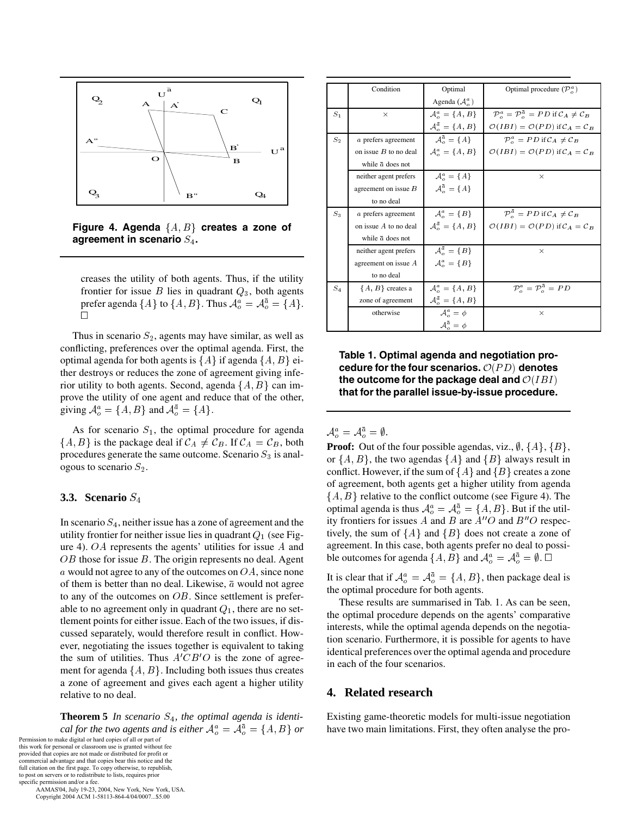



creases the utility of both agents. Thus, if the utility frontier for issue  $B$  lies in quadrant  $Q_3$ , both agents prefer agenda  $\{A\}$  to  $\{A, B\}$ . Thus  $\mathcal{A}^a_o = \mathcal{A}^{\bar{a}}_o = \{A\}$ .

Thus in scenario  $S_2$ , agents may have similar, as well as conflicting, preferences over the optimal agenda. First, the optimal agenda for both agents is  $\{A\}$  if agenda  $\{A, B\}$  either destroys or reduces the zone of agreement giving inferior utility to both agents. Second, agenda  $\{A, B\}$  can improve the utility of one agent and reduce that of the other, giving  $\mathcal{A}^a_o = \{A, B\}$  and  $\mathcal{A}^{\overline{a}}_o = \{A\}.$ 

As for scenario  $S_1$ , the optimal procedure for agenda  $\{A, B\}$  is the package deal if  $\mathcal{C}_A \neq \mathcal{C}_B$ . If  $\mathcal{C}_A = \mathcal{C}_B$ , both procedures generate the same outcome. Scenario  $S_3$  is analogous to scenario  $S_2$ .

## **3.3. Scenario**

In scenario  $S_4$ , neither issue has a zone of agreement and the utility frontier for neither issue lies in quadrant  $Q_1$  (see Figure 4).  $OA$  represents the agents' utilities for issue  $A$  and  $OB$  those for issue  $B$ . The origin represents no deal. Agent  $\alpha$  would not agree to any of the outcomes on  $OA$ , since none of them is better than no deal. Likewise,  $\bar{a}$  would not agree to any of the outcomes on  $OB$ . Since settlement is preferable to no agreement only in quadrant  $Q_1$ , there are no settlement points for either issue. Each of the two issues, if discussed separately, would therefore result in conflict. However, negotiating the issues together is equivalent to taking the sum of utilities. Thus  $A'CB'O$  is the zone of agreement for agenda  $\{A, B\}$ . Including both issues thus creates a zone of agreement and gives each agent a higher utility relative to no deal.

**Theorem 5** *In scenario*  $S_4$ *, the optimal agenda is identical for the two agents and is either*  $A_o^a = A_o^{\bar{a}} = \{A, B\}$  *or* **b** Permission to make digital or hard copies of all or part of

this work for personal or classroom use is granted without fee provided that copies are not made or distributed for profit or commercial advantage and that copies bear this notice and the full citation on the first page. To copy otherwise, to republish, to post on servers or to redistribute to lists, requires prior specific permission and/or a fee.

 AAMAS'04, July 19-23, 2004, New York, New York, USA. Copyright 2004 ACM 1-58113-864-4/04/0007...\$5.00

|         | Condition                | Optimal                                                         | Optimal procedure $(\mathcal{P}_a^a)$                                                                      |
|---------|--------------------------|-----------------------------------------------------------------|------------------------------------------------------------------------------------------------------------|
|         |                          | Agenda $(\mathcal{A}_o^a)$                                      |                                                                                                            |
| $S_1$   | $\times$                 | $\mathcal{A}^a = \{A, B\}$                                      | $\mathcal{P}_{\alpha}^{a} = \mathcal{P}_{\alpha}^{\bar{a}} = PD$ if $\mathcal{C}_{A} \neq \mathcal{C}_{B}$ |
|         |                          | $\mathcal{A}_{\alpha}^{\overline{a}} = \{A, B\}$                | $\mathcal{O}(IBI) = \mathcal{O}(PD)$ if $C_A = C_B$                                                        |
| $S_{2}$ | a prefers agreement      | $A^{\overline{a}} = \{A\}$                                      | $\mathcal{P}_{\scriptscriptstyle{\alpha}}^a = PD$ if $\mathcal{C}_A \neq \mathcal{C}_B$                    |
|         | on issue $B$ to no deal  | $\mathcal{A}^a_{\circ} = \{A, B\}$                              | $\mathcal{O}(IBI) = \mathcal{O}(PD)$ if $C_A = C_B$                                                        |
|         | while $\bar{a}$ does not |                                                                 |                                                                                                            |
|         | neither agent prefers    | $A^a = \{A\}$                                                   | $\times$                                                                                                   |
|         | agreement on issue $B$   | $A^{\overline{a}}_{\circ} = \{A\}$                              |                                                                                                            |
|         | to no deal               |                                                                 |                                                                                                            |
| $S_3$   | a prefers agreement      | $A^a_{\circ} = \{B\}$                                           | $\mathcal{P}_{\scriptscriptstyle{\alpha}}^{\bar{a}} = PD$ if $\mathcal{C}_A \neq \mathcal{C}_B$            |
|         | on issue $A$ to no deal  | $\mathcal{A}_{\scriptscriptstyle{\alpha}}^{\bar{a}} = \{A, B\}$ | $\mathcal{O}(IBI) = \mathcal{O}(PD)$ if $C_A = C_B$                                                        |
|         | while $\bar{a}$ does not |                                                                 |                                                                                                            |
|         | neither agent prefers    | $A^{\overline{a}}_{\circ} = \{B\}$                              | $\times$                                                                                                   |
|         | agreement on issue $A$   | $A^a = \{B\}$                                                   |                                                                                                            |
|         | to no deal               |                                                                 |                                                                                                            |
| $S_4$   | ${A, B}$ creates a       | $\mathcal{A}^a_{\circ} = \{A, B\}$                              | $\mathcal{P}_{\alpha}^{a} = \mathcal{P}_{\alpha}^{\overline{a}} = PD$                                      |
|         | zone of agreement        | $\mathcal{A}_{\alpha}^{\overline{a}} = \{A, B\}$                |                                                                                                            |
|         | otherwise                | $A^a_{\circ} = \phi$                                            | $\times$                                                                                                   |
|         |                          | $\mathcal{A}^{\bar{a}}_o = \phi$                                |                                                                                                            |

**Table 1. Optimal agenda and negotiation pro**cedure for the four scenarios.  $O(PD)$  denotes **the outcome for the package deal and that for the parallel issue-by-issue procedure.**

 $\mathcal{A}^a_o = \mathcal{A}^{\bar{a}}_o = \emptyset.$ 

**Proof:** Out of the four possible agendas, viz.,  $\emptyset$ ,  $\{A\}$ ,  $\{B\}$ , or  $\{A, B\}$ , the two agendas  $\{A\}$  and  $\{B\}$  always result in conflict. However, if the sum of  $\{A\}$  and  $\{B\}$  creates a zone of agreement, both agents get a higher utility from agenda  $\{A, B\}$  relative to the conflict outcome (see Figure 4). The optimal agenda is thus  $\mathcal{A}^a_\rho = \mathcal{A}^{\overline{a}}_\rho = \{A, B\}$ . But if the utility frontiers for issues A and B are  $A''O$  and  $B''O$  respectively, the sum of  ${A}$  and  ${B}$  does not create a zone of agreement. In this case, both agents prefer no deal to possible outcomes for agenda  $\{A, B\}$  and  $\mathcal{A}^a_o = \mathcal{A}^{\bar{a}}_o = \emptyset$ .  $\Box$ 

It is clear that if  $\mathcal{A}^a_{\rho} = \mathcal{A}^{\bar{a}}_{\rho} = \{A, B\}$ , then package deal is the optimal procedure for both agents.

These results are summarised in Tab. 1. As can be seen, the optimal procedure depends on the agents' comparative interests, while the optimal agenda depends on the negotiation scenario. Furthermore, it is possible for agents to have identical preferences over the optimal agenda and procedure in each of the four scenarios.

# **4. Related research**

Existing game-theoretic models for multi-issue negotiation have two main limitations. First, they often analyse the pro